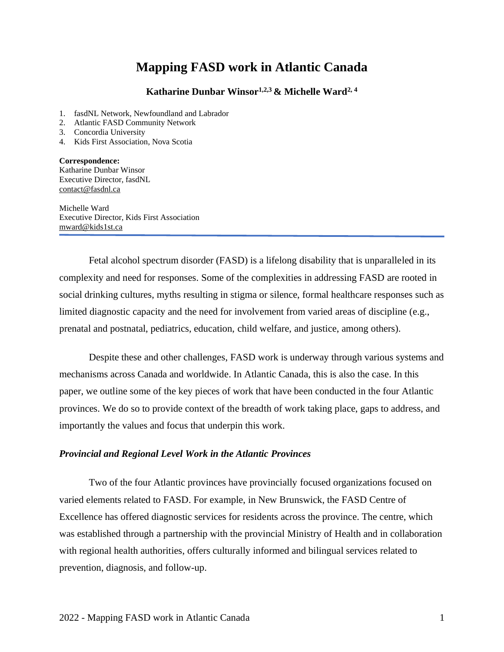# **Mapping FASD work in Atlantic Canada**

### **Katharine Dunbar Winsor1,2,3 & Michelle Ward2, 4**

- 1. fasdNL Network, Newfoundland and Labrador
- 2. Atlantic FASD Community Network
- 3. Concordia University
- 4. Kids First Association, Nova Scotia

**Correspondence:**  Katharine Dunbar Winsor Executive Director, fasdNL [contact@fasdnl.ca](mailto:contact@fasdnl.ca)

Michelle Ward Executive Director, Kids First Association mward@kids1st.ca

Fetal alcohol spectrum disorder (FASD) is a lifelong disability that is unparalleled in its complexity and need for responses. Some of the complexities in addressing FASD are rooted in social drinking cultures, myths resulting in stigma or silence, formal healthcare responses such as limited diagnostic capacity and the need for involvement from varied areas of discipline (e.g., prenatal and postnatal, pediatrics, education, child welfare, and justice, among others).

Despite these and other challenges, FASD work is underway through various systems and mechanisms across Canada and worldwide. In Atlantic Canada, this is also the case. In this paper, we outline some of the key pieces of work that have been conducted in the four Atlantic provinces. We do so to provide context of the breadth of work taking place, gaps to address, and importantly the values and focus that underpin this work.

#### *Provincial and Regional Level Work in the Atlantic Provinces*

Two of the four Atlantic provinces have provincially focused organizations focused on varied elements related to FASD. For example, in New Brunswick, the FASD Centre of Excellence has offered diagnostic services for residents across the province. The centre, which was established through a partnership with the provincial Ministry of Health and in collaboration with regional health authorities, offers culturally informed and bilingual services related to prevention, diagnosis, and follow-up.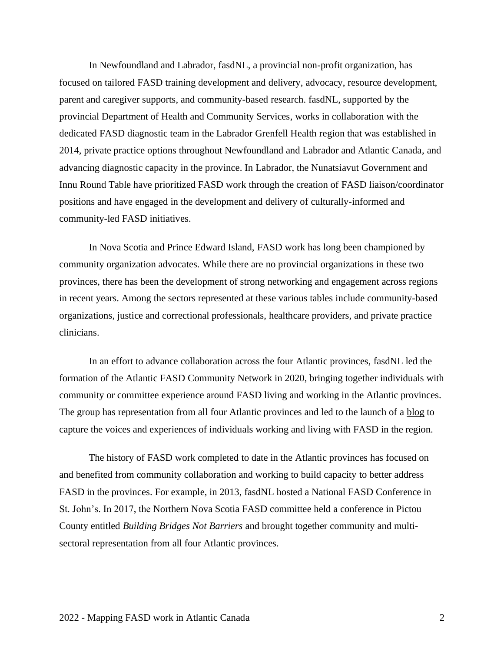In Newfoundland and Labrador, fasdNL, a provincial non-profit organization, has focused on tailored FASD training development and delivery, advocacy, resource development, parent and caregiver supports, and community-based research. fasdNL, supported by the provincial Department of Health and Community Services, works in collaboration with the dedicated FASD diagnostic team in the Labrador Grenfell Health region that was established in 2014, private practice options throughout Newfoundland and Labrador and Atlantic Canada, and advancing diagnostic capacity in the province. In Labrador, the Nunatsiavut Government and Innu Round Table have prioritized FASD work through the creation of FASD liaison/coordinator positions and have engaged in the development and delivery of culturally-informed and community-led FASD initiatives.

In Nova Scotia and Prince Edward Island, FASD work has long been championed by community organization advocates. While there are no provincial organizations in these two provinces, there has been the development of strong networking and engagement across regions in recent years. Among the sectors represented at these various tables include community-based organizations, justice and correctional professionals, healthcare providers, and private practice clinicians.

In an effort to advance collaboration across the four Atlantic provinces, fasdNL led the formation of the Atlantic FASD Community Network in 2020, bringing together individuals with community or committee experience around FASD living and working in the Atlantic provinces. The group has representation from all four Atlantic provinces and led to the launch of a [blog](http://www.fasdnl.ca/atlanticfasdcommunitynetworkblog) to capture the voices and experiences of individuals working and living with FASD in the region.

The history of FASD work completed to date in the Atlantic provinces has focused on and benefited from community collaboration and working to build capacity to better address FASD in the provinces. For example, in 2013, fasdNL hosted a National FASD Conference in St. John's. In 2017, the Northern Nova Scotia FASD committee held a conference in Pictou County entitled *Building Bridges Not Barriers* and brought together community and multisectoral representation from all four Atlantic provinces.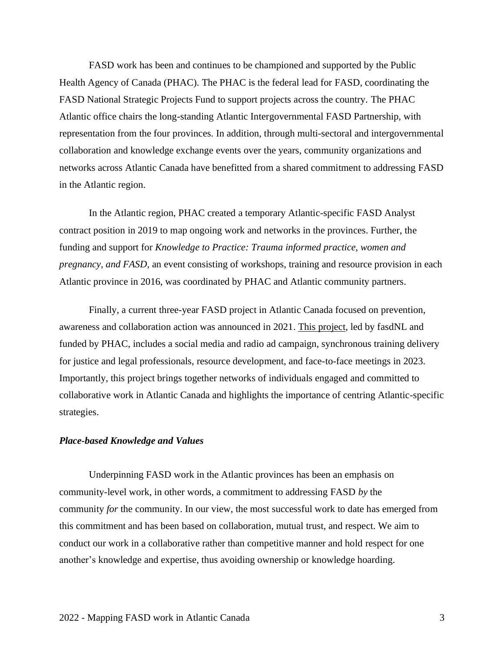FASD work has been and continues to be championed and supported by the Public Health Agency of Canada (PHAC). The PHAC is the federal lead for FASD, coordinating the FASD National Strategic Projects Fund to support projects across the country. The PHAC Atlantic office chairs the long-standing Atlantic Intergovernmental FASD Partnership, with representation from the four provinces. In addition, through multi-sectoral and intergovernmental collaboration and knowledge exchange events over the years, community organizations and networks across Atlantic Canada have benefitted from a shared commitment to addressing FASD in the Atlantic region.

In the Atlantic region, PHAC created a temporary Atlantic-specific FASD Analyst contract position in 2019 to map ongoing work and networks in the provinces. Further, the funding and support for *Knowledge to Practice: Trauma informed practice, women and pregnancy, and FASD*, an event consisting of workshops, training and resource provision in each Atlantic province in 2016, was coordinated by PHAC and Atlantic community partners.

Finally, a current three-year FASD project in Atlantic Canada focused on prevention, awareness and collaboration action was announced in 2021. [This project,](https://www.canada.ca/en/public-health/news/2021/06/government-of-canada-invests-in-fetal-alcohol-spectrum-disorder-prevention-in-atlantic-provinces.html?fbclid=IwAR0E6DIyNc858Jyw60jmQsXFx12gC4ECouN4YLD1ASg5upALY14CEfINBPo) led by fasdNL and funded by PHAC, includes a social media and radio ad campaign, synchronous training delivery for justice and legal professionals, resource development, and face-to-face meetings in 2023. Importantly, this project brings together networks of individuals engaged and committed to collaborative work in Atlantic Canada and highlights the importance of centring Atlantic-specific strategies.

#### *Place-based Knowledge and Values*

Underpinning FASD work in the Atlantic provinces has been an emphasis on community-level work, in other words, a commitment to addressing FASD *by* the community *for* the community. In our view, the most successful work to date has emerged from this commitment and has been based on collaboration, mutual trust, and respect. We aim to conduct our work in a collaborative rather than competitive manner and hold respect for one another's knowledge and expertise, thus avoiding ownership or knowledge hoarding.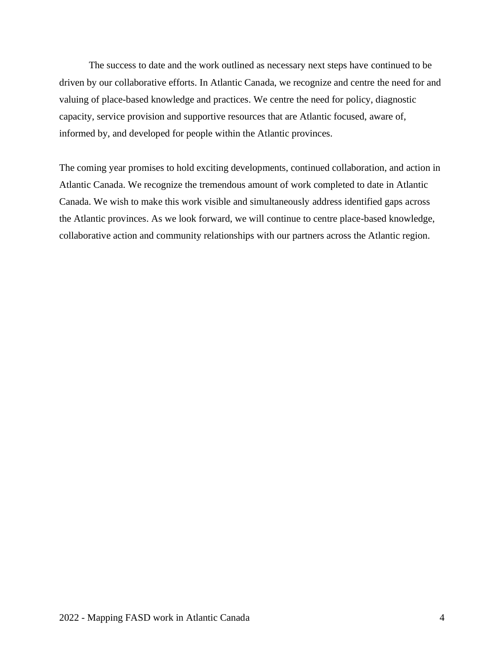The success to date and the work outlined as necessary next steps have continued to be driven by our collaborative efforts. In Atlantic Canada, we recognize and centre the need for and valuing of place-based knowledge and practices. We centre the need for policy, diagnostic capacity, service provision and supportive resources that are Atlantic focused, aware of, informed by, and developed for people within the Atlantic provinces.

The coming year promises to hold exciting developments, continued collaboration, and action in Atlantic Canada. We recognize the tremendous amount of work completed to date in Atlantic Canada. We wish to make this work visible and simultaneously address identified gaps across the Atlantic provinces. As we look forward, we will continue to centre place-based knowledge, collaborative action and community relationships with our partners across the Atlantic region.